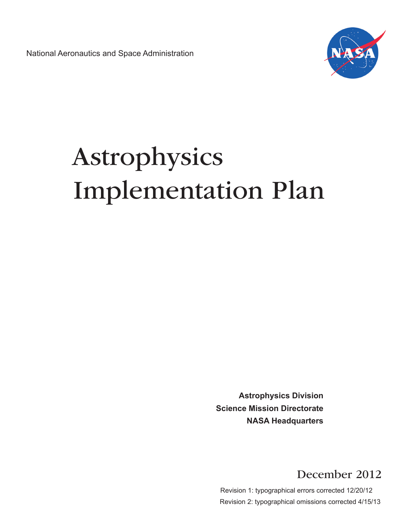National Aeronautics and Space Administration



# Astrophysics Implementation Plan

**Astrophysics Division Science Mission Directorate NASA Headquarters**

December 2012

 Revision 1: typographical errors corrected 12/20/12 Revision 2: typographical omissions corrected 4/15/13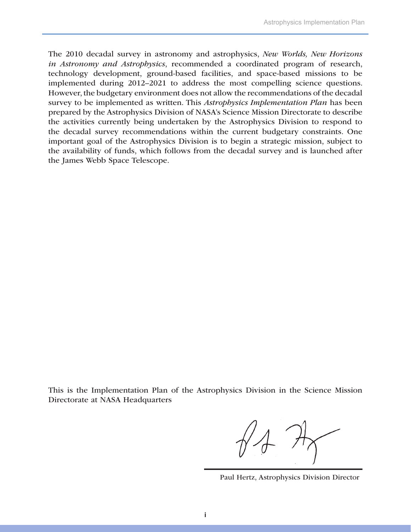The 2010 decadal survey in astronomy and astrophysics, *New Worlds, New Horizons in Astronomy and Astrophysics*, recommended a coordinated program of research, technology development, ground-based facilities, and space-based missions to be implemented during 2012–2021 to address the most compelling science questions. However, the budgetary environment does not allow the recommendations of the decadal survey to be implemented as written. This *Astrophysics Implementation Plan* has been prepared by the Astrophysics Division of NASA's Science Mission Directorate to describe the activities currently being undertaken by the Astrophysics Division to respond to the decadal survey recommendations within the current budgetary constraints. One important goal of the Astrophysics Division is to begin a strategic mission, subject to the availability of funds, which follows from the decadal survey and is launched after the James Webb Space Telescope.

This is the Implementation Plan of the Astrophysics Division in the Science Mission Directorate at NASA Headquarters

Paul Hertz, Astrophysics Division Director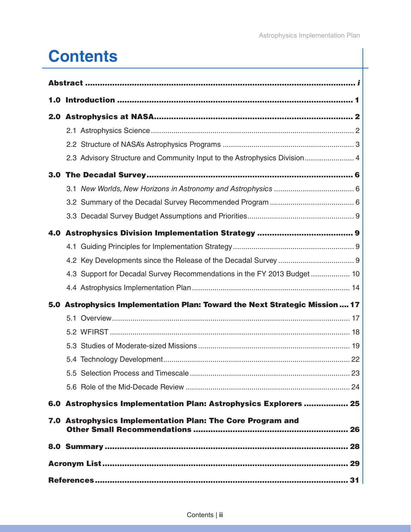# **Contents**

| 1.0 |                                                                             |  |  |
|-----|-----------------------------------------------------------------------------|--|--|
|     |                                                                             |  |  |
|     |                                                                             |  |  |
|     |                                                                             |  |  |
|     | 2.3 Advisory Structure and Community Input to the Astrophysics Division 4   |  |  |
|     |                                                                             |  |  |
|     |                                                                             |  |  |
|     |                                                                             |  |  |
|     |                                                                             |  |  |
|     |                                                                             |  |  |
|     |                                                                             |  |  |
|     |                                                                             |  |  |
|     | 4.3 Support for Decadal Survey Recommendations in the FY 2013 Budget  10    |  |  |
|     |                                                                             |  |  |
|     | 5.0 Astrophysics Implementation Plan: Toward the Next Strategic Mission  17 |  |  |
|     |                                                                             |  |  |
|     |                                                                             |  |  |
|     |                                                                             |  |  |
|     |                                                                             |  |  |
|     |                                                                             |  |  |
|     |                                                                             |  |  |
|     | 6.0 Astrophysics Implementation Plan: Astrophysics Explorers  25            |  |  |
|     | 7.0 Astrophysics Implementation Plan: The Core Program and                  |  |  |
|     |                                                                             |  |  |
|     |                                                                             |  |  |
|     |                                                                             |  |  |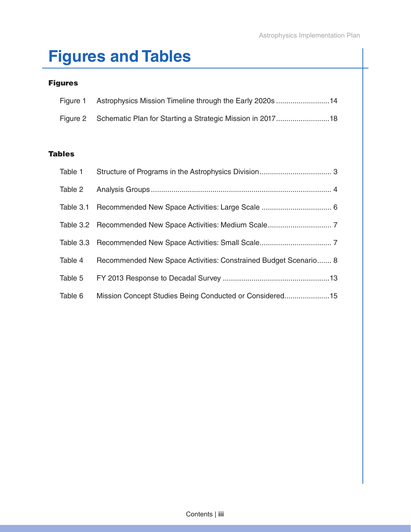# **Figures and Tables**

#### Figures

| Figure 1 Astrophysics Mission Timeline through the Early 2020s 14 |
|-------------------------------------------------------------------|
|                                                                   |

#### Tables

| Table 1 |                                                                 |
|---------|-----------------------------------------------------------------|
| Table 2 |                                                                 |
|         |                                                                 |
|         |                                                                 |
|         |                                                                 |
| Table 4 | Recommended New Space Activities: Constrained Budget Scenario 8 |
| Table 5 |                                                                 |
| Table 6 | Mission Concept Studies Being Conducted or Considered15         |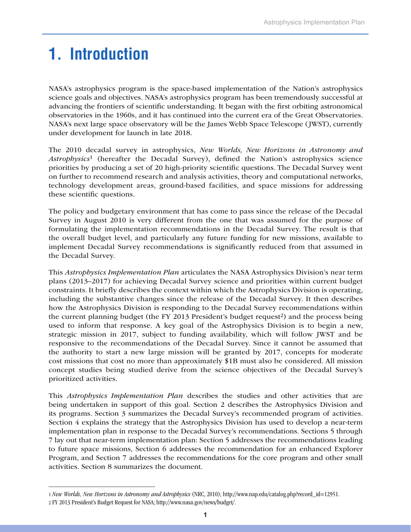# **1. Introduction**

NASA's astrophysics program is the space-based implementation of the Nation's astrophysics science goals and objectives. NASA's astrophysics program has been tremendously successful at advancing the frontiers of scientific understanding. It began with the first orbiting astronomical observatories in the 1960s, and it has continued into the current era of the Great Observatories. NASA's next large space observatory will be the James Webb Space Telescope (JWST), currently under development for launch in late 2018.

The 2010 decadal survey in astrophysics, *New Worlds, New Horizons in Astronomy and Astrophysics*1 (hereafter the Decadal Survey), defined the Nation's astrophysics science priorities by producing a set of 20 high-priority scientific questions. The Decadal Survey went on further to recommend research and analysis activities, theory and computational networks, technology development areas, ground-based facilities, and space missions for addressing these scientific questions.

The policy and budgetary environment that has come to pass since the release of the Decadal Survey in August 2010 is very different from the one that was assumed for the purpose of formulating the implementation recommendations in the Decadal Survey. The result is that the overall budget level, and particularly any future funding for new missions, available to implement Decadal Survey recommendations is significantly reduced from that assumed in the Decadal Survey.

This *Astrophysics Implementation Plan* articulates the NASA Astrophysics Division's near term plans (2013–2017) for achieving Decadal Survey science and priorities within current budget constraints. It briefly describes the context within which the Astrophysics Division is operating, including the substantive changes since the release of the Decadal Survey. It then describes how the Astrophysics Division is responding to the Decadal Survey recommendations within the current planning budget (the FY 2013 President's budget request<sup>2</sup>) and the process being used to inform that response. A key goal of the Astrophysics Division is to begin a new, strategic mission in 2017, subject to funding availability, which will follow JWST and be responsive to the recommendations of the Decadal Survey. Since it cannot be assumed that the authority to start a new large mission will be granted by 2017, concepts for moderate cost missions that cost no more than approximately \$1B must also be considered. All mission concept studies being studied derive from the science objectives of the Decadal Survey's prioritized activities.

This *Astrophysics Implementation Plan* describes the studies and other activities that are being undertaken in support of this goal. Section 2 describes the Astrophysics Division and its programs. Section 3 summarizes the Decadal Survey's recommended program of activities. Section 4 explains the strategy that the Astrophysics Division has used to develop a near-term implementation plan in response to the Decadal Survey's recommendations. Sections 5 through 7 lay out that near-term implementation plan: Section 5 addresses the recommendations leading to future space missions, Section 6 addresses the recommendation for an enhanced Explorer Program, and Section 7 addresses the recommendations for the core program and other small activities. Section 8 summarizes the document.

<sup>1</sup> *New Worlds, New Horizons in Astronomy and Astrophysics* (NRC, 2010); http://www.nap.edu/catalog.php?record\_id=12951.

<sup>2</sup> FY 2013 President's Budget Request for NASA; http://www.nasa.gov/news/budget/.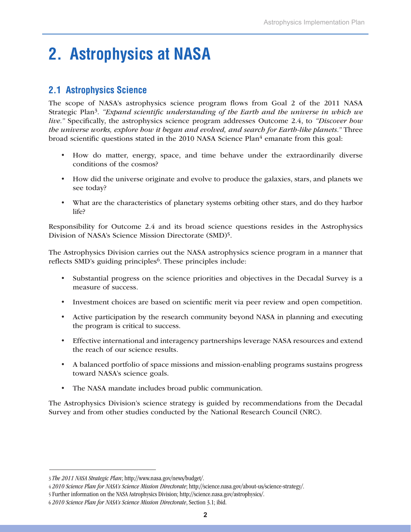# **2. Astrophysics at NASA**

# **2.1 Astrophysics Science**

The scope of NASA's astrophysics science program flows from Goal 2 of the 2011 NASA Strategic Plan3. *"Expand scientific understanding of the Earth and the universe in which we live."* Specifically, the astrophysics science program addresses Outcome 2.4, to *"Discover how the universe works, explore how it began and evolved, and search for Earth-like planets."* Three broad scientific questions stated in the 2010 NASA Science Plan4 emanate from this goal:

- How do matter, energy, space, and time behave under the extraordinarily diverse conditions of the cosmos?
- • How did the universe originate and evolve to produce the galaxies, stars, and planets we see today?
- What are the characteristics of planetary systems orbiting other stars, and do they harbor life?

Responsibility for Outcome 2.4 and its broad science questions resides in the Astrophysics Division of NASA's Science Mission Directorate (SMD)5.

The Astrophysics Division carries out the NASA astrophysics science program in a manner that reflects SMD's guiding principles<sup>6</sup>. These principles include:

- • Substantial progress on the science priorities and objectives in the Decadal Survey is a measure of success.
- • Investment choices are based on scientific merit via peer review and open competition.
- Active participation by the research community beyond NASA in planning and executing the program is critical to success.
- • Effective international and interagency partnerships leverage NASA resources and extend the reach of our science results.
- • A balanced portfolio of space missions and mission-enabling programs sustains progress toward NASA's science goals.
- • The NASA mandate includes broad public communication.

The Astrophysics Division's science strategy is guided by recommendations from the Decadal Survey and from other studies conducted by the National Research Council (NRC).

<sup>3</sup> *The 2011 NASA Strategic Plan*; http://www.nasa.gov/news/budget/.

<sup>4</sup> *2010 Science Plan for NASA's Science Mission Directorate*; http://science.nasa.gov/about-us/science-strategy/.

<sup>5</sup> Further information on the NASA Astrophysics Division; http://science.nasa.gov/astrophysics/.

<sup>6</sup> *2010 Science Plan for NASA's Science Mission Directorate*, Section 3.1; ibid.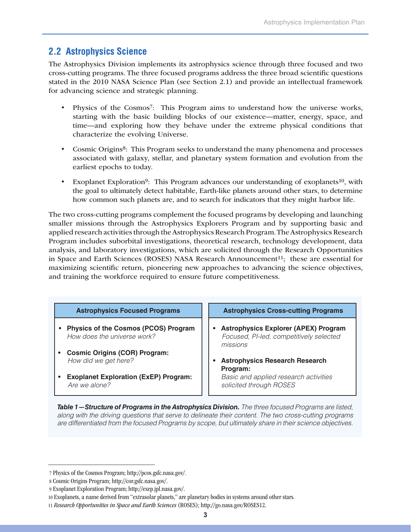### **2.2 Astrophysics Science**

The Astrophysics Division implements its astrophysics science through three focused and two cross-cutting programs. The three focused programs address the three broad scientific questions stated in the 2010 NASA Science Plan (see Section 2.1) and provide an intellectual framework for advancing science and strategic planning.

- Physics of the Cosmos<sup>7</sup>: This Program aims to understand how the universe works, starting with the basic building blocks of our existence—matter, energy, space, and time—and exploring how they behave under the extreme physical conditions that characterize the evolving Universe.
- Cosmic Origins<sup>8</sup>: This Program seeks to understand the many phenomena and processes associated with galaxy, stellar, and planetary system formation and evolution from the earliest epochs to today.
- Exoplanet Exploration<sup>9</sup>: This Program advances our understanding of exoplanets<sup>10</sup>, with the goal to ultimately detect habitable, Earth-like planets around other stars, to determine how common such planets are, and to search for indicators that they might harbor life.

The two cross-cutting programs complement the focused programs by developing and launching smaller missions through the Astrophysics Explorers Program and by supporting basic and applied research activities through the Astrophysics Research Program. The Astrophysics Research Program includes suborbital investigations, theoretical research, technology development, data analysis, and laboratory investigations, which are solicited through the Research Opportunities in Space and Earth Sciences (ROSES) NASA Research Announcement<sup>11</sup>; these are essential for maximizing scientific return, pioneering new approaches to advancing the science objectives, and training the workforce required to ensure future competitiveness.

| <b>Astrophysics Focused Programs</b>                                       | <b>Astrophysics Cross-cutting Programs</b>                                                         |
|----------------------------------------------------------------------------|----------------------------------------------------------------------------------------------------|
| <b>Physics of the Cosmos (PCOS) Program</b><br>How does the universe work? | <b>Astrophysics Explorer (APEX) Program</b><br>Focused, PI-led, competitively selected<br>missions |
| <b>Cosmic Origins (COR) Program:</b>                                       | <b>Astrophysics Research Research</b>                                                              |
| How did we get here?                                                       | Program:                                                                                           |
| <b>Exoplanet Exploration (ExEP) Program:</b>                               | Basic and applied research activities                                                              |
| Are we alone?                                                              | solicited through ROSES                                                                            |

*Table 1—Structure of Programs in the Astrophysics Division. The three focused Programs are listed, along with the driving questions that serve to delineate their content. The two cross-cutting programs are differentiated from the focused Programs by scope, but ultimately share in their science objectives.*

 <sup>7</sup> Physics of the Cosmos Program; http://pcos.gsfc.nasa.gov/.

 <sup>8</sup> Cosmic Origins Program; http://cor.gsfc.nasa.gov/.

 <sup>9</sup> Exoplanet Exploration Program; http://exep.jpl.nasa.gov/.

<sup>10</sup> Exoplanets, a name derived from "extrasolar planets," are planetary bodies in systems around other stars.

<sup>11</sup> *Research Opportunities in Space and Earth Sciences* (ROSES); http://go.nasa.gov/ROSES12.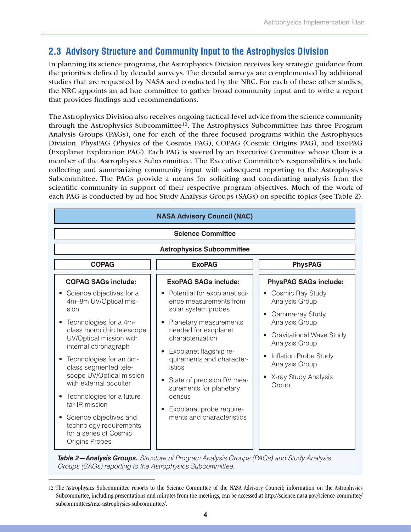# **2.3 Advisory Structure and Community Input to the Astrophysics Division**

In planning its science programs, the Astrophysics Division receives key strategic guidance from the priorities defined by decadal surveys. The decadal surveys are complemented by additional studies that are requested by NASA and conducted by the NRC. For each of these other studies, the NRC appoints an ad hoc committee to gather broad community input and to write a report that provides findings and recommendations.

The Astrophysics Division also receives ongoing tactical-level advice from the science community through the Astrophysics Subcommittee12. The Astrophysics Subcommittee has three Program Analysis Groups (PAGs), one for each of the three focused programs within the Astrophysics Division: PhysPAG (Physics of the Cosmos PAG), COPAG (Cosmic Origins PAG), and ExoPAG (Exoplanet Exploration PAG). Each PAG is steered by an Executive Committee whose Chair is a member of the Astrophysics Subcommittee. The Executive Committee's responsibilities include collecting and summarizing community input with subsequent reporting to the Astrophysics Subcommittee. The PAGs provide a means for soliciting and coordinating analysis from the scientific community in support of their respective program objectives. Much of the work of each PAG is conducted by ad hoc Study Analysis Groups (SAGs) on specific topics (see Table 2).

| <b>NASA Advisory Council (NAC)</b>                                                                                                                                                                                                                                                                                                                                                            |                                                                                                                                                                                                                                                                                        |                                                                                                                                                                      |  |  |  |
|-----------------------------------------------------------------------------------------------------------------------------------------------------------------------------------------------------------------------------------------------------------------------------------------------------------------------------------------------------------------------------------------------|----------------------------------------------------------------------------------------------------------------------------------------------------------------------------------------------------------------------------------------------------------------------------------------|----------------------------------------------------------------------------------------------------------------------------------------------------------------------|--|--|--|
| <b>Science Committee</b>                                                                                                                                                                                                                                                                                                                                                                      |                                                                                                                                                                                                                                                                                        |                                                                                                                                                                      |  |  |  |
|                                                                                                                                                                                                                                                                                                                                                                                               | <b>Astrophysics Subcommittee</b>                                                                                                                                                                                                                                                       |                                                                                                                                                                      |  |  |  |
| <b>COPAG</b><br><b>ExoPAG</b><br><b>PhysPAG</b>                                                                                                                                                                                                                                                                                                                                               |                                                                                                                                                                                                                                                                                        |                                                                                                                                                                      |  |  |  |
| <b>COPAG SAGs include:</b>                                                                                                                                                                                                                                                                                                                                                                    | <b>ExoPAG SAGs include:</b>                                                                                                                                                                                                                                                            | <b>PhysPAG SAGs include:</b>                                                                                                                                         |  |  |  |
| Science objectives for a<br>4m-8m UV/Optical mis-                                                                                                                                                                                                                                                                                                                                             | Potential for exoplanet sci-<br>ence measurements from                                                                                                                                                                                                                                 | Cosmic Ray Study<br>Analysis Group                                                                                                                                   |  |  |  |
| sion<br>Technologies for a 4m-<br>class monolithic telescope<br>UV/Optical mission with<br>internal coronagraph<br>Technologies for an 8m-<br>class segmented tele-<br>scope UV/Optical mission<br>with external occulter<br>Technologies for a future<br>far-IR mission<br>Science objectives and<br>$\bullet$<br>technology requirements<br>for a series of Cosmic<br><b>Origins Probes</b> | solar system probes<br>Planetary measurements<br>needed for exoplanet<br>characterization<br>Exoplanet flagship re-<br>quirements and character-<br>istics<br>State of precision RV mea-<br>surements for planetary<br>census<br>Exoplanet probe require-<br>ments and characteristics | Gamma-ray Study<br>Analysis Group<br><b>Gravitational Wave Study</b><br>Analysis Group<br>Inflation Probe Study<br>Analysis Group<br>• X-ray Study Analysis<br>Group |  |  |  |

*Table 2—Analysis Groups. Structure of Program Analysis Groups (PAGs) and Study Analysis Groups (SAGs) reporting to the Astrophysics Subcommittee.*

<sup>12</sup> The Astrophysics Subcommittee reports to the Science Committee of the NASA Advisory Council; information on the Astrophysics Subcommittee, including presentations and minutes from the meetings, can be accessed at http://science.nasa.gov/science-committee/ subcommittees/nac-astrophysics-subcommittee/.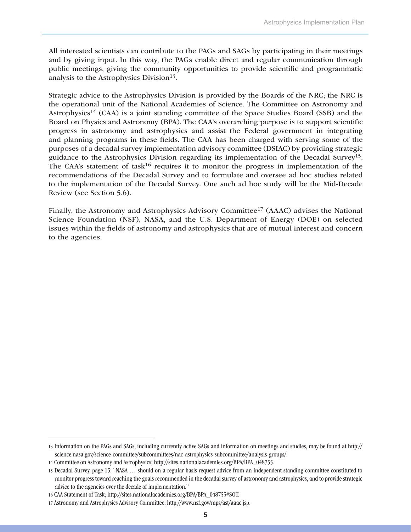All interested scientists can contribute to the PAGs and SAGs by participating in their meetings and by giving input. In this way, the PAGs enable direct and regular communication through public meetings, giving the community opportunities to provide scientific and programmatic analysis to the Astrophysics Division<sup>13</sup>.

Strategic advice to the Astrophysics Division is provided by the Boards of the NRC; the NRC is the operational unit of the National Academies of Science. The Committee on Astronomy and Astrophysics<sup>14</sup> (CAA) is a joint standing committee of the Space Studies Board (SSB) and the Board on Physics and Astronomy (BPA). The CAA's overarching purpose is to support scientific progress in astronomy and astrophysics and assist the Federal government in integrating and planning programs in these fields. The CAA has been charged with serving some of the purposes of a decadal survey implementation advisory committee (DSIAC) by providing strategic guidance to the Astrophysics Division regarding its implementation of the Decadal Survey15. The CAA's statement of task<sup>16</sup> requires it to monitor the progress in implementation of the recommendations of the Decadal Survey and to formulate and oversee ad hoc studies related to the implementation of the Decadal Survey. One such ad hoc study will be the Mid-Decade Review (see Section 5.6).

Finally, the Astronomy and Astrophysics Advisory Committee17 (AAAC) advises the National Science Foundation (NSF), NASA, and the U.S. Department of Energy (DOE) on selected issues within the fields of astronomy and astrophysics that are of mutual interest and concern to the agencies.

<sup>13</sup> Information on the PAGs and SAGs, including currently active SAGs and information on meetings and studies, may be found at http:// science.nasa.gov/science-committee/subcommittees/nac-astrophysics-subcommittee/analysis-groups/.

<sup>14</sup> Committee on Astronomy and Astrophysics; http://sites.nationalacademies.org/BPA/BPA\_048755.

<sup>15</sup> Decadal Survey, page 15: "NASA … should on a regular basis request advice from an independent standing committee constituted to monitor progress toward reaching the goals recommended in the decadal survey of astronomy and astrophysics, and to provide strategic advice to the agencies over the decade of implementation."

<sup>16</sup> CAA Statement of Task; http://sites.nationalacademies.org/BPA/BPA\_048755#SOT.

<sup>17</sup> Astronomy and Astrophysics Advisory Committee; http://www.nsf.gov/mps/ast/aaac.jsp.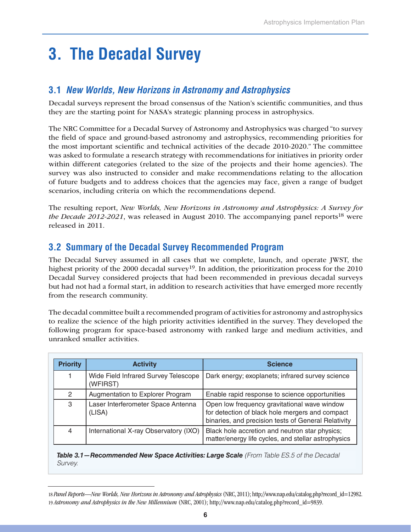# **3. The Decadal Survey**

### **3.1** *New Worlds, New Horizons in Astronomy and Astrophysics*

Decadal surveys represent the broad consensus of the Nation's scientific communities, and thus they are the starting point for NASA's strategic planning process in astrophysics.

The NRC Committee for a Decadal Survey of Astronomy and Astrophysics was charged "to survey the field of space and ground-based astronomy and astrophysics, recommending priorities for the most important scientific and technical activities of the decade 2010-2020." The committee was asked to formulate a research strategy with recommendations for initiatives in priority order within different categories (related to the size of the projects and their home agencies). The survey was also instructed to consider and make recommendations relating to the allocation of future budgets and to address choices that the agencies may face, given a range of budget scenarios, including criteria on which the recommendations depend.

The resulting report, *New Worlds, New Horizons in Astronomy and Astrophysics: A Survey for the Decade 2012-2021*, was released in August 2010. The accompanying panel reports<sup>18</sup> were released in 2011.

### **3.2 Summary of the Decadal Survey Recommended Program**

The Decadal Survey assumed in all cases that we complete, launch, and operate JWST, the highest priority of the 2000 decadal survey<sup>19</sup>. In addition, the prioritization process for the 2010 Decadal Survey considered projects that had been recommended in previous decadal surveys but had not had a formal start, in addition to research activities that have emerged more recently from the research community.

The decadal committee built a recommended program of activities for astronomy and astrophysics to realize the science of the high priority activities identified in the survey. They developed the following program for space-based astronomy with ranked large and medium activities, and unranked smaller activities.

| <b>Priority</b> | <b>Activity</b>                                  | <b>Science</b>                                                                                                                                         |
|-----------------|--------------------------------------------------|--------------------------------------------------------------------------------------------------------------------------------------------------------|
|                 | Wide Field Infrared Survey Telescope<br>(WFIRST) | Dark energy; exoplanets; infrared survey science                                                                                                       |
| 2               | Augmentation to Explorer Program                 | Enable rapid response to science opportunities                                                                                                         |
| 3               | Laser Interferometer Space Antenna<br>(LISA)     | Open low frequency gravitational wave window<br>for detection of black hole mergers and compact<br>binaries, and precision tests of General Relativity |
| $\overline{4}$  | International X-ray Observatory (IXO)            | Black hole accretion and neutron star physics;<br>matter/energy life cycles, and stellar astrophysics                                                  |

*Table 3.1—Recommended New Space Activities: Large Scale (From Table ES.5 of the Decadal Survey.*

<sup>18</sup> *Panel Reports—New Worlds, New Horizons in Astronomy and Astrophysics* (NRC, 2011); http://www.nap.edu/catalog.php?record\_id=12982. 19 *Astronomy and Astrophysics in the New Millennium* (NRC, 2001); http://www.nap.edu/catalog.php?record\_id=9839.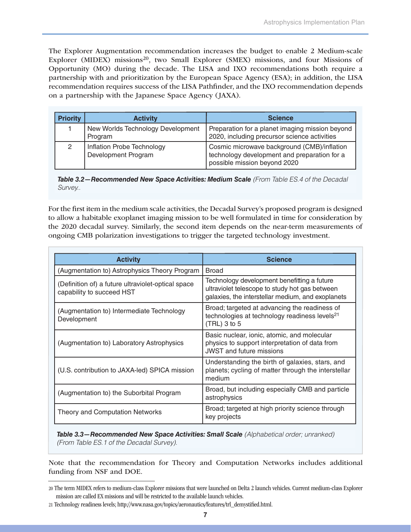The Explorer Augmentation recommendation increases the budget to enable 2 Medium-scale Explorer (MIDEX) missions<sup>20</sup>, two Small Explorer (SMEX) missions, and four Missions of Opportunity (MO) during the decade. The LISA and IXO recommendations both require a partnership with and prioritization by the European Space Agency (ESA); in addition, the LISA recommendation requires success of the LISA Pathfinder, and the IXO recommendation depends on a partnership with the Japanese Space Agency (JAXA).

| <b>Priority</b> | <b>Activity</b>                                   | <b>Science</b>                                                                                                              |
|-----------------|---------------------------------------------------|-----------------------------------------------------------------------------------------------------------------------------|
|                 | New Worlds Technology Development<br>Program      | Preparation for a planet imaging mission beyond<br>2020, including precursor science activities                             |
| 2               | Inflation Probe Technology<br>Development Program | Cosmic microwave background (CMB)/inflation<br>technology development and preparation for a<br>possible mission beyond 2020 |

*Table 3.2—Recommended New Space Activities: Medium Scale (From Table ES.4 of the Decadal Survey..*

For the first item in the medium scale activities, the Decadal Survey's proposed program is designed to allow a habitable exoplanet imaging mission to be well formulated in time for consideration by the 2020 decadal survey. Similarly, the second item depends on the near-term measurements of ongoing CMB polarization investigations to trigger the targeted technology investment.

| <b>Activity</b>                                                                 | <b>Science</b>                                                                                                                                     |
|---------------------------------------------------------------------------------|----------------------------------------------------------------------------------------------------------------------------------------------------|
| (Augmentation to) Astrophysics Theory Program                                   | <b>Broad</b>                                                                                                                                       |
| (Definition of) a future ultraviolet-optical space<br>capability to succeed HST | Technology development benefitting a future<br>ultraviolet telescope to study hot gas between<br>galaxies, the interstellar medium, and exoplanets |
| (Augmentation to) Intermediate Technology<br>Development                        | Broad; targeted at advancing the readiness of<br>technologies at technology readiness levels <sup>21</sup><br>$(TRL)$ 3 to 5                       |
| (Augmentation to) Laboratory Astrophysics                                       | Basic nuclear, ionic, atomic, and molecular<br>physics to support interpretation of data from<br><b>JWST</b> and future missions                   |
| (U.S. contribution to JAXA-led) SPICA mission                                   | Understanding the birth of galaxies, stars, and<br>planets; cycling of matter through the interstellar<br>medium                                   |
| (Augmentation to) the Suborbital Program                                        | Broad, but including especially CMB and particle<br>astrophysics                                                                                   |
| <b>Theory and Computation Networks</b>                                          | Broad; targeted at high priority science through<br>key projects                                                                                   |

*Table 3.3—Recommended New Space Activities: Small Scale (Alphabetical order; unranked) (From Table ES.1 of the Decadal Survey).*

Note that the recommendation for Theory and Computation Networks includes additional funding from NSF and DOE.

<sup>20</sup> The term MIDEX refers to medium-class Explorer missions that were launched on Delta 2 launch vehicles. Current medium-class Explorer mission are called EX missions and will be restricted to the available launch vehicles.

<sup>21</sup> Technology readiness levels; http://www.nasa.gov/topics/aeronautics/features/trl\_demystified.html.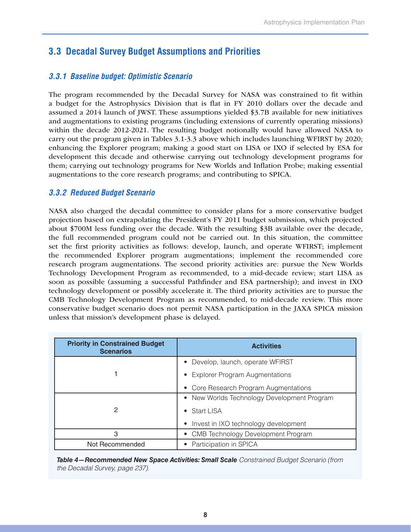### **3.3 Decadal Survey Budget Assumptions and Priorities**

#### *3.3.1 Baseline budget: Optimistic Scenario*

The program recommended by the Decadal Survey for NASA was constrained to fit within a budget for the Astrophysics Division that is flat in FY 2010 dollars over the decade and assumed a 2014 launch of JWST. These assumptions yielded \$3.7B available for new initiatives and augmentations to existing programs (including extensions of currently operating missions) within the decade 2012-2021. The resulting budget notionally would have allowed NASA to carry out the program given in Tables 3.1-3.3 above which includes launching WFIRST by 2020; enhancing the Explorer program; making a good start on LISA or IXO if selected by ESA for development this decade and otherwise carrying out technology development programs for them; carrying out technology programs for New Worlds and Inflation Probe; making essential augmentations to the core research programs; and contributing to SPICA.

#### *3.3.2 Reduced Budget Scenario*

NASA also charged the decadal committee to consider plans for a more conservative budget projection based on extrapolating the President's FY 2011 budget submission, which projected about \$700M less funding over the decade. With the resulting \$3B available over the decade, the full recommended program could not be carried out. In this situation, the committee set the first priority activities as follows: develop, launch, and operate WFIRST; implement the recommended Explorer program augmentations; implement the recommended core research program augmentations. The second priority activities are: pursue the New Worlds Technology Development Program as recommended, to a mid-decade review; start LISA as soon as possible (assuming a successful Pathfinder and ESA partnership); and invest in IXO technology development or possibly accelerate it. The third priority activities are to pursue the CMB Technology Development Program as recommended, to mid-decade review. This more conservative budget scenario does not permit NASA participation in the JAXA SPICA mission unless that mission's development phase is delayed.

| <b>Priority in Constrained Budget</b><br><b>Scenarios</b> | <b>Activities</b>                                      |  |  |
|-----------------------------------------------------------|--------------------------------------------------------|--|--|
|                                                           | Develop, launch, operate WFIRST<br>$\bullet$           |  |  |
|                                                           | <b>Explorer Program Augmentations</b><br>$\bullet$     |  |  |
|                                                           | • Core Research Program Augmentations                  |  |  |
|                                                           | New Worlds Technology Development Program<br>$\bullet$ |  |  |
| 2                                                         | <b>Start LISA</b><br>$\bullet$                         |  |  |
|                                                           | Invest in IXO technology development<br>$\bullet$      |  |  |
| 3                                                         | CMB Technology Development Program<br>$\bullet$        |  |  |
| Not Recommended                                           | Participation in SPICA                                 |  |  |

*Table 4—Recommended New Space Activities: Small Scale Constrained Budget Scenario (from the Decadal Survey, page 237).*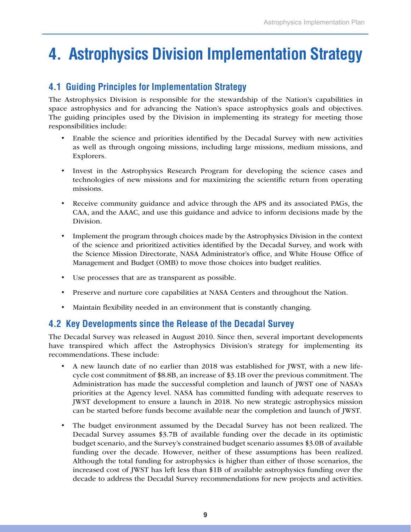# **4. Astrophysics Division Implementation Strategy**

### **4.1 Guiding Principles for Implementation Strategy**

The Astrophysics Division is responsible for the stewardship of the Nation's capabilities in space astrophysics and for advancing the Nation's space astrophysics goals and objectives. The guiding principles used by the Division in implementing its strategy for meeting those responsibilities include:

- Enable the science and priorities identified by the Decadal Survey with new activities as well as through ongoing missions, including large missions, medium missions, and Explorers.
- Invest in the Astrophysics Research Program for developing the science cases and technologies of new missions and for maximizing the scientific return from operating missions.
- • Receive community guidance and advice through the APS and its associated PAGs, the CAA, and the AAAC, and use this guidance and advice to inform decisions made by the Division.
- Implement the program through choices made by the Astrophysics Division in the context of the science and prioritized activities identified by the Decadal Survey, and work with the Science Mission Directorate, NASA Administrator's office, and White House Office of Management and Budget (OMB) to move those choices into budget realities.
- • Use processes that are as transparent as possible.
- • Preserve and nurture core capabilities at NASA Centers and throughout the Nation.
- Maintain flexibility needed in an environment that is constantly changing.

### **4.2 Key Developments since the Release of the Decadal Survey**

The Decadal Survey was released in August 2010. Since then, several important developments have transpired which affect the Astrophysics Division's strategy for implementing its recommendations. These include:

- • A new launch date of no earlier than 2018 was established for JWST, with a new lifecycle cost commitment of \$8.8B, an increase of \$3.1B over the previous commitment. The Administration has made the successful completion and launch of JWST one of NASA's priorities at the Agency level. NASA has committed funding with adequate reserves to JWST development to ensure a launch in 2018. No new strategic astrophysics mission can be started before funds become available near the completion and launch of JWST.
- • The budget environment assumed by the Decadal Survey has not been realized. The Decadal Survey assumes \$3.7B of available funding over the decade in its optimistic budget scenario, and the Survey's constrained budget scenario assumes \$3.0B of available funding over the decade. However, neither of these assumptions has been realized. Although the total funding for astrophysics is higher than either of those scenarios, the increased cost of JWST has left less than \$1B of available astrophysics funding over the decade to address the Decadal Survey recommendations for new projects and activities.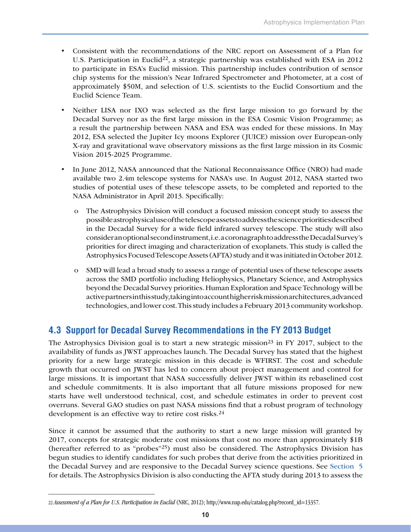- • Consistent with the recommendations of the NRC report on Assessment of a Plan for U.S. Participation in Euclid<sup>22</sup>, a strategic partnership was established with ESA in 2012 to participate in ESA's Euclid mission. This partnership includes contribution of sensor chip systems for the mission's Near Infrared Spectrometer and Photometer, at a cost of approximately \$50M, and selection of U.S. scientists to the Euclid Consortium and the Euclid Science Team.
- Neither LISA nor IXO was selected as the first large mission to go forward by the Decadal Survey nor as the first large mission in the ESA Cosmic Vision Programme; as a result the partnership between NASA and ESA was ended for these missions. In May 2012, ESA selected the Jupiter Icy moons Explorer (JUICE) mission over European-only X-ray and gravitational wave observatory missions as the first large mission in its Cosmic Vision 2015-2025 Programme.
- In June 2012, NASA announced that the National Reconnaissance Office (NRO) had made available two 2.4m telescope systems for NASA's use. In August 2012, NASA started two studies of potential uses of these telescope assets, to be completed and reported to the NASA Administrator in April 2013. Specifically:
	- o The Astrophysics Division will conduct a focused mission concept study to assess the possible astrophysical use of the telescope assets to address the science priorities described in the Decadal Survey for a wide field infrared survey telescope. The study will also consider an optional second instrument, i.e. a coronagraph to address the Decadal Survey's priorities for direct imaging and characterization of exoplanets. This study is called the Astrophysics Focused Telescope Assets (AFTA) study and it was initiated in October 2012.
	- o SMD will lead a broad study to assess a range of potential uses of these telescope assets across the SMD portfolio including Heliophysics, Planetary Science, and Astrophysics beyond the Decadal Survey priorities. Human Exploration and Space Technology will be active partners in this study, taking into account higher risk mission architectures, advanced technologies, and lower cost. This study includes a February 2013 community workshop.

### **4.3 Support for Decadal Survey Recommendations in the FY 2013 Budget**

The Astrophysics Division goal is to start a new strategic mission<sup>23</sup> in FY 2017, subject to the availability of funds as JWST approaches launch. The Decadal Survey has stated that the highest priority for a new large strategic mission in this decade is WFIRST. The cost and schedule growth that occurred on JWST has led to concern about project management and control for large missions. It is important that NASA successfully deliver JWST within its rebaselined cost and schedule commitments. It is also important that all future missions proposed for new starts have well understood technical, cost, and schedule estimates in order to prevent cost overruns. Several GAO studies on past NASA missions find that a robust program of technology development is an effective way to retire cost risks.<sup>24</sup>

Since it cannot be assumed that the authority to start a new large mission will granted by 2017, concepts for strategic moderate cost missions that cost no more than approximately \$1B (hereafter referred to as "probes"25) must also be considered. The Astrophysics Division has begun studies to identify candidates for such probes that derive from the activities prioritized in the Decadal Survey and are responsive to the Decadal Survey science questions. See Section 5 for details. The Astrophysics Division is also conducting the AFTA study during 2013 to assess the

<sup>22</sup> *Assessment of a Plan for U.S. Participation in Euclid* (NRC, 2012); http://www.nap.edu/catalog.php?record\_id=13357.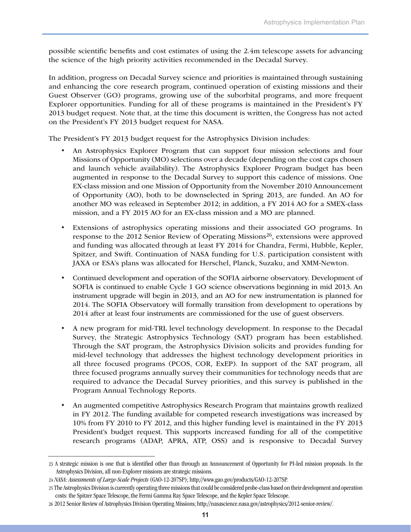possible scientific benefits and cost estimates of using the 2.4m telescope assets for advancing the science of the high priority activities recommended in the Decadal Survey.

In addition, progress on Decadal Survey science and priorities is maintained through sustaining and enhancing the core research program, continued operation of existing missions and their Guest Observer (GO) programs, growing use of the suborbital programs, and more frequent Explorer opportunities. Funding for all of these programs is maintained in the President's FY 2013 budget request. Note that, at the time this document is written, the Congress has not acted on the President's FY 2013 budget request for NASA.

The President's FY 2013 budget request for the Astrophysics Division includes:

- An Astrophysics Explorer Program that can support four mission selections and four Missions of Opportunity (MO) selections over a decade (depending on the cost caps chosen and launch vehicle availability). The Astrophysics Explorer Program budget has been augmented in response to the Decadal Survey to support this cadence of missions. One EX-class mission and one Mission of Opportunity from the November 2010 Announcement of Opportunity (AO), both to be downselected in Spring 2013, are funded. An AO for another MO was released in September 2012; in addition, a FY 2014 AO for a SMEX-class mission, and a FY 2015 AO for an EX-class mission and a MO are planned.
- • Extensions of astrophysics operating missions and their associated GO programs. In response to the 2012 Senior Review of Operating Missions<sup>26</sup>, extensions were approved and funding was allocated through at least FY 2014 for Chandra, Fermi, Hubble, Kepler, Spitzer, and Swift. Continuation of NASA funding for U.S. participation consistent with JAXA or ESA's plans was allocated for Herschel, Planck, Suzaku, and XMM-Newton.
- • Continued development and operation of the SOFIA airborne observatory. Development of SOFIA is continued to enable Cycle 1 GO science observations beginning in mid 2013. An instrument upgrade will begin in 2013, and an AO for new instrumentation is planned for 2014. The SOFIA Observatory will formally transition from development to operations by 2014 after at least four instruments are commissioned for the use of guest observers.
- • A new program for mid-TRL level technology development. In response to the Decadal Survey, the Strategic Astrophysics Technology (SAT) program has been established. Through the SAT program, the Astrophysics Division solicits and provides funding for mid-level technology that addresses the highest technology development priorities in all three focused programs (PCOS, COR, ExEP). In support of the SAT program, all three focused programs annually survey their communities for technology needs that are required to advance the Decadal Survey priorities, and this survey is published in the Program Annual Technology Reports.
- An augmented competitive Astrophysics Research Program that maintains growth realized in FY 2012. The funding available for competed research investigations was increased by 10% from FY 2010 to FY 2012, and this higher funding level is maintained in the FY 2013 President's budget request. This supports increased funding for all of the competitive research programs (ADAP, APRA, ATP, OSS) and is responsive to Decadal Survey

<sup>23</sup> A strategic mission is one that is identified other than through an Announcement of Opportunity for PI-led mission proposals. In the Astrophysics Division, all non-Explorer missions are strategic missions.

<sup>24</sup> *NASA: Assessments of Large-Scale Projects* (GAO-12-207SP); http://www.gao.gov/products/GAO-12-207SP.

<sup>25</sup> The Astrophysics Division is currently operating three missions that could be considered probe-class based on their development and operation costs: the Spitzer Space Telescope, the Fermi Gamma Ray Space Telescope, and the Kepler Space Telescope.

<sup>26 2012</sup> Senior Review of Astrophysics Division Operating Missions; http://nasascience.nasa.gov/astrophysics/2012-senior-review/.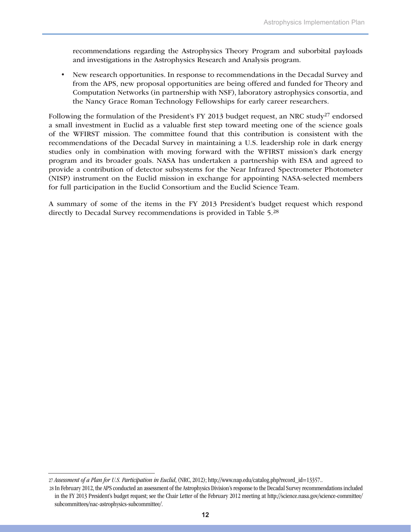recommendations regarding the Astrophysics Theory Program and suborbital payloads and investigations in the Astrophysics Research and Analysis program.

• New research opportunities. In response to recommendations in the Decadal Survey and from the APS, new proposal opportunities are being offered and funded for Theory and Computation Networks (in partnership with NSF), laboratory astrophysics consortia, and the Nancy Grace Roman Technology Fellowships for early career researchers.

Following the formulation of the President's FY 2013 budget request, an NRC study<sup>27</sup> endorsed a small investment in Euclid as a valuable first step toward meeting one of the science goals of the WFIRST mission. The committee found that this contribution is consistent with the recommendations of the Decadal Survey in maintaining a U.S. leadership role in dark energy studies only in combination with moving forward with the WFIRST mission's dark energy program and its broader goals. NASA has undertaken a partnership with ESA and agreed to provide a contribution of detector subsystems for the Near Infrared Spectrometer Photometer (NISP) instrument on the Euclid mission in exchange for appointing NASA-selected members for full participation in the Euclid Consortium and the Euclid Science Team.

A summary of some of the items in the FY 2013 President's budget request which respond directly to Decadal Survey recommendations is provided in Table 5.28

<sup>27</sup> *Assessment of a Plan for U.S. Participation in Euclid*, (NRC, 2012); http://www.nap.edu/catalog.php?record\_id=13357..

<sup>28</sup> In February 2012, the APS conducted an assessment of the Astrophysics Division's response to the Decadal Survey recommendations included in the FY 2013 President's budget request; see the Chair Letter of the February 2012 meeting at http://science.nasa.gov/science-committee/ subcommittees/nac-astrophysics-subcommittee/.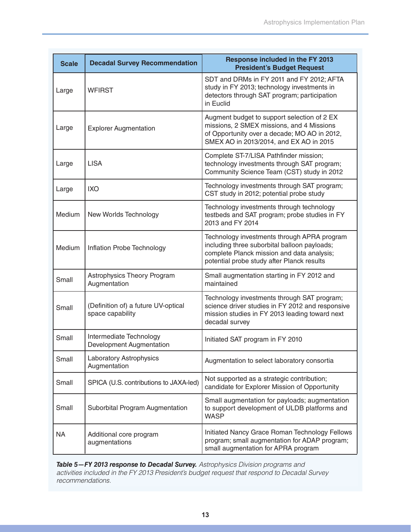| <b>Scale</b> | <b>Decadal Survey Recommendation</b>                    | <b>Response included in the FY 2013</b><br><b>President's Budget Request</b>                                                                                                            |
|--------------|---------------------------------------------------------|-----------------------------------------------------------------------------------------------------------------------------------------------------------------------------------------|
| Large        | <b>WFIRST</b>                                           | SDT and DRMs in FY 2011 and FY 2012; AFTA<br>study in FY 2013; technology investments in<br>detectors through SAT program; participation<br>in Euclid                                   |
| Large        | <b>Explorer Augmentation</b>                            | Augment budget to support selection of 2 EX<br>missions, 2 SMEX missions, and 4 Missions<br>of Opportunity over a decade; MO AO in 2012,<br>SMEX AO in 2013/2014, and EX AO in 2015     |
| Large        | <b>LISA</b>                                             | Complete ST-7/LISA Pathfinder mission;<br>technology investments through SAT program;<br>Community Science Team (CST) study in 2012                                                     |
| Large        | <b>IXO</b>                                              | Technology investments through SAT program;<br>CST study in 2012; potential probe study                                                                                                 |
| Medium       | New Worlds Technology                                   | Technology investments through technology<br>testbeds and SAT program; probe studies in FY<br>2013 and FY 2014                                                                          |
| Medium       | Inflation Probe Technology                              | Technology investments through APRA program<br>including three suborbital balloon payloads;<br>complete Planck mission and data analysis;<br>potential probe study after Planck results |
| Small        | Astrophysics Theory Program<br>Augmentation             | Small augmentation starting in FY 2012 and<br>maintained                                                                                                                                |
| Small        | (Definition of) a future UV-optical<br>space capability | Technology investments through SAT program;<br>science driver studies in FY 2012 and responsive<br>mission studies in FY 2013 leading toward next<br>decadal survey                     |
| Small        | Intermediate Technology<br>Development Augmentation     | Initiated SAT program in FY 2010                                                                                                                                                        |
| Small        | Laboratory Astrophysics<br>Augmentation                 | Augmentation to select laboratory consortia                                                                                                                                             |
| Small        | SPICA (U.S. contributions to JAXA-led)                  | Not supported as a strategic contribution;<br>candidate for Explorer Mission of Opportunity                                                                                             |
| Small        | Suborbital Program Augmentation                         | Small augmentation for payloads; augmentation<br>to support development of ULDB platforms and<br><b>WASP</b>                                                                            |
| <b>NA</b>    | Additional core program<br>augmentations                | Initiated Nancy Grace Roman Technology Fellows<br>program; small augmentation for ADAP program;<br>small augmentation for APRA program                                                  |

*Table 5—FY 2013 response to Decadal Survey. Astrophysics Division programs and activities included in the FY 2013 President's budget request that respond to Decadal Survey recommendations.*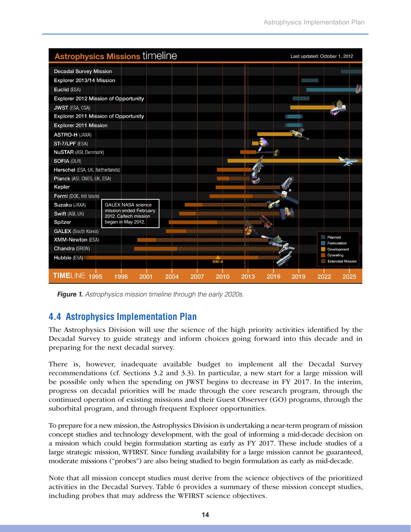|                                      | <b>Astrophysics Missions timeline</b>           |              |              |              | Last updated: October 1, 2012        |
|--------------------------------------|-------------------------------------------------|--------------|--------------|--------------|--------------------------------------|
| <b>Decadal Survey Mission</b>        |                                                 |              |              |              |                                      |
| Explorer 2013/14 Mission             |                                                 |              |              |              | UMMA)                                |
| Euclid (ESA)                         |                                                 |              |              |              |                                      |
| Explorer 2012 Mission of Opportunity |                                                 |              |              | 911 II       |                                      |
| <b>JWST</b> (ESA, CSA)               |                                                 |              |              |              |                                      |
| Explorer 2011 Mission of Opportunity |                                                 |              |              |              |                                      |
| Explorer 2011 Mission                |                                                 |              |              |              |                                      |
| <b>ASTRO-H (JAXA)</b>                |                                                 |              |              |              |                                      |
| ST-7/LPF (ESA)                       |                                                 |              |              |              |                                      |
| <b>NuSTAR</b> (ASI, Denmark)         |                                                 |              |              |              |                                      |
| <b>SOFIA (DLR)</b>                   |                                                 |              |              |              |                                      |
| Herschel (ESA, UK, Netherlands)      |                                                 |              |              |              |                                      |
| Planck (ASI, CNES, UK, ESA)          |                                                 |              |              |              |                                      |
| Kepler                               |                                                 |              |              |              |                                      |
| Fermi (DOE, Intl team)               |                                                 |              |              |              |                                      |
| Suzaku (JAXA)                        | <b>GALEX NASA science</b>                       |              |              |              |                                      |
| Swift (ASI, UK)                      | mission ended February<br>2012. Caltech mission |              |              |              |                                      |
| Spitzer                              | began in May 2012.                              |              |              |              |                                      |
| <b>GALEX</b> (South Korea)           |                                                 |              |              |              |                                      |
| <b>XMM-Newton (ESA)</b>              |                                                 |              |              |              | Planned<br><b>Formulation</b>        |
| Chandra (SRON)                       |                                                 |              |              |              | Development                          |
| Hubble (ESA)                         |                                                 |              | <b>SM</b>    |              | Operating<br><b>Extended Mission</b> |
|                                      |                                                 |              |              |              |                                      |
| TIMELINE 1995                        | 1998<br>2001                                    | 2004<br>2007 | 2010<br>2013 | 2016<br>2019 | 2022<br>2025                         |

*Figure 1. Astrophysics mission timeline through the early 2020s.*

# **4.4 Astrophysics Implementation Plan**

The Astrophysics Division will use the science of the high priority activities identified by the Decadal Survey to guide strategy and inform choices going forward into this decade and in preparing for the next decadal survey.

There is, however, inadequate available budget to implement all the Decadal Survey recommendations (cf. Sections 3.2 and 3.3). In particular, a new start for a large mission will be possible only when the spending on JWST begins to decrease in FY 2017. In the interim, progress on decadal priorities will be made through the core research program, through the continued operation of existing missions and their Guest Observer (GO) programs, through the suborbital program, and through frequent Explorer opportunities.

To prepare for a new mission, the Astrophysics Division is undertaking a near-term program of mission concept studies and technology development, with the goal of informing a mid-decade decision on a mission which could begin formulation starting as early as FY 2017. These include studies of a large strategic mission, WFIRST. Since funding availability for a large mission cannot be guaranteed, moderate missions ("probes") are also being studied to begin formulation as early as mid-decade.

Note that all mission concept studies must derive from the science objectives of the prioritized activities in the Decadal Survey. Table 6 provides a summary of these mission concept studies, including probes that may address the WFIRST science objectives.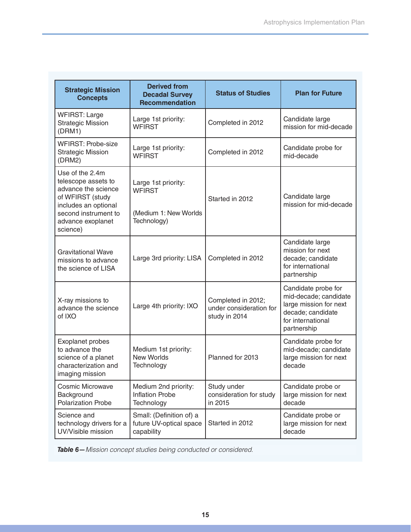| <b>Strategic Mission</b><br><b>Concepts</b>                                                                                                                        | <b>Derived from</b><br><b>Decadal Survey</b><br><b>Recommendation</b>        | <b>Status of Studies</b>                                       | <b>Plan for Future</b>                                                                                                          |
|--------------------------------------------------------------------------------------------------------------------------------------------------------------------|------------------------------------------------------------------------------|----------------------------------------------------------------|---------------------------------------------------------------------------------------------------------------------------------|
| <b>WFIRST: Large</b><br><b>Strategic Mission</b><br>(DRM1)                                                                                                         | Large 1st priority:<br>Completed in 2012<br><b>WFIRST</b>                    |                                                                | Candidate large<br>mission for mid-decade                                                                                       |
| <b>WFIRST: Probe-size</b><br><b>Strategic Mission</b><br>(DRM2)                                                                                                    | Large 1st priority:<br><b>WFIRST</b>                                         | Completed in 2012                                              | Candidate probe for<br>mid-decade                                                                                               |
| Use of the 2.4m<br>telescope assets to<br>advance the science<br>of WFIRST (study<br>includes an optional<br>second instrument to<br>advance exoplanet<br>science) | Large 1st priority:<br><b>WFIRST</b><br>(Medium 1: New Worlds<br>Technology) | Started in 2012                                                | Candidate large<br>mission for mid-decade                                                                                       |
| <b>Gravitational Wave</b><br>missions to advance<br>the science of LISA                                                                                            | Large 3rd priority: LISA                                                     | Completed in 2012                                              | Candidate large<br>mission for next<br>decade; candidate<br>for international<br>partnership                                    |
| X-ray missions to<br>Large 4th priority: IXO<br>advance the science<br>of IXO                                                                                      |                                                                              | Completed in 2012;<br>under consideration for<br>study in 2014 | Candidate probe for<br>mid-decade; candidate<br>large mission for next<br>decade; candidate<br>for international<br>partnership |
| <b>Exoplanet probes</b><br>to advance the<br>science of a planet<br>characterization and<br>imaging mission                                                        | Medium 1st priority:<br><b>New Worlds</b><br>Technology                      | Planned for 2013                                               | Candidate probe for<br>mid-decade; candidate<br>large mission for next<br>decade                                                |
| Cosmic Microwave<br>Background<br><b>Polarization Probe</b>                                                                                                        | Medium 2nd priority:<br><b>Inflation Probe</b><br>Technology                 | Study under<br>consideration for study<br>in 2015              | Candidate probe or<br>large mission for next<br>decade                                                                          |
| Science and<br>technology drivers for a<br>UV/Visible mission                                                                                                      | Small: (Definition of) a<br>future UV-optical space<br>capability            | Started in 2012                                                | Candidate probe or<br>large mission for next<br>decade                                                                          |

*Table 6—Mission concept studies being conducted or considered.*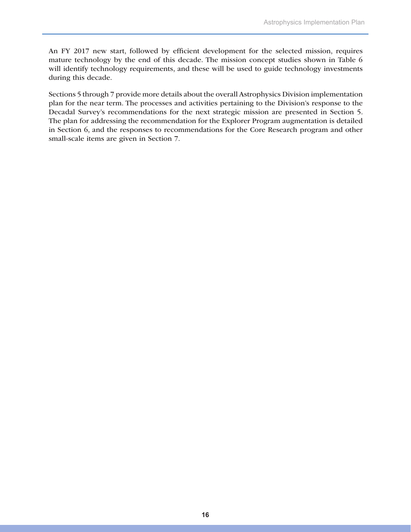An FY 2017 new start, followed by efficient development for the selected mission, requires mature technology by the end of this decade. The mission concept studies shown in Table 6 will identify technology requirements, and these will be used to guide technology investments during this decade.

Sections 5 through 7 provide more details about the overall Astrophysics Division implementation plan for the near term. The processes and activities pertaining to the Division's response to the Decadal Survey's recommendations for the next strategic mission are presented in Section 5. The plan for addressing the recommendation for the Explorer Program augmentation is detailed in Section 6, and the responses to recommendations for the Core Research program and other small-scale items are given in Section 7.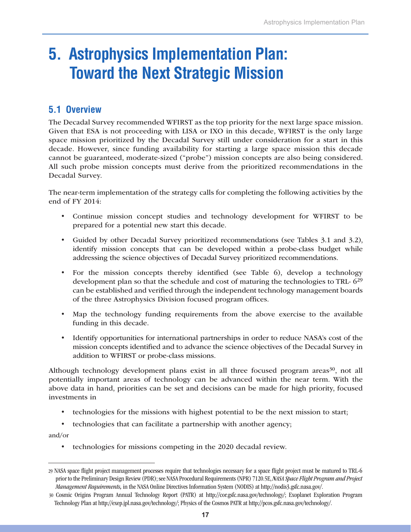# **5. Astrophysics Implementation Plan: Toward the Next Strategic Mission**

### **5.1 Overview**

The Decadal Survey recommended WFIRST as the top priority for the next large space mission. Given that ESA is not proceeding with LISA or IXO in this decade, WFIRST is the only large space mission prioritized by the Decadal Survey still under consideration for a start in this decade. However, since funding availability for starting a large space mission this decade cannot be guaranteed, moderate-sized ("probe") mission concepts are also being considered. All such probe mission concepts must derive from the prioritized recommendations in the Decadal Survey.

The near-term implementation of the strategy calls for completing the following activities by the end of FY 2014:

- • Continue mission concept studies and technology development for WFIRST to be prepared for a potential new start this decade.
- • Guided by other Decadal Survey prioritized recommendations (see Tables 3.1 and 3.2), identify mission concepts that can be developed within a probe-class budget while addressing the science objectives of Decadal Survey prioritized recommendations.
- • For the mission concepts thereby identified (see Table 6), develop a technology development plan so that the schedule and cost of maturing the technologies to TRL-  $6^{29}$ can be established and verified through the independent technology management boards of the three Astrophysics Division focused program offices.
- • Map the technology funding requirements from the above exercise to the available funding in this decade.
- Identify opportunities for international partnerships in order to reduce NASA's cost of the mission concepts identified and to advance the science objectives of the Decadal Survey in addition to WFIRST or probe-class missions.

Although technology development plans exist in all three focused program areas<sup>30</sup>, not all potentially important areas of technology can be advanced within the near term. With the above data in hand, priorities can be set and decisions can be made for high priority, focused investments in

- technologies for the missions with highest potential to be the next mission to start;
- • technologies that can facilitate a partnership with another agency;

and/or

• technologies for missions competing in the 2020 decadal review.

<sup>29</sup> NASA space flight project management processes require that technologies necessary for a space flight project must be matured to TRL-6 prior to the Preliminary Design Review (PDR); see NASA Procedural Requirements (NPR) 7120.5E, *NASA Space Flight Program and Project Management Requirements,* in the NASA Online Directives Information System (NODIS) at http://nodis3.gsfc.nasa.gov/.

<sup>30</sup> Cosmic Origins Program Annual Technology Report (PATR) at http://cor.gsfc.nasa.gov/technology/; Exoplanet Exploration Program Technology Plan at http://exep.jpl.nasa.gov/technology/; Physics of the Cosmos PATR at http://pcos.gsfc.nasa.gov/technology/.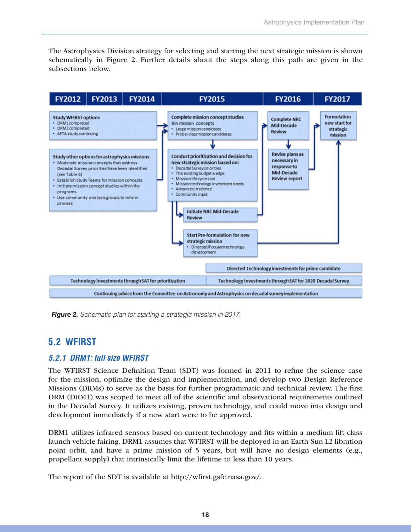The Astrophysics Division strategy for selecting and starting the next strategic mission is shown schematically in Figure 2. Further details about the steps along this path are given in the subsections below.



*Figure 2. Schematic plan for starting a strategic mission in 2017.*

### **5.2 WFIRST**

#### *5.2.1 DRM1: full size WFIRST*

The WFIRST Science Definition Team (SDT) was formed in 2011 to refine the science case for the mission, optimize the design and implementation, and develop two Design Reference Missions (DRMs) to serve as the basis for further programmatic and technical review. The first DRM (DRM1) was scoped to meet all of the scientific and observational requirements outlined in the Decadal Survey. It utilizes existing, proven technology, and could move into design and development immediately if a new start were to be approved.

DRM1 utilizes infrared sensors based on current technology and fits within a medium lift class launch vehicle fairing. DRM1 assumes that WFIRST will be deployed in an Earth-Sun L2 libration point orbit, and have a prime mission of 5 years, but will have no design elements (e.g., propellant supply) that intrinsically limit the lifetime to less than 10 years.

The report of the SDT is available at http://wfirst.gsfc.nasa.gov/.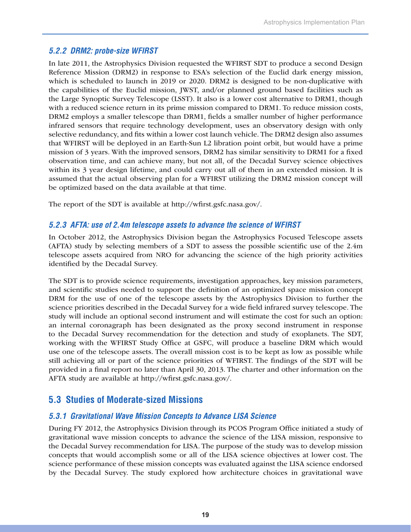#### *5.2.2 DRM2: probe-size WFIRST*

In late 2011, the Astrophysics Division requested the WFIRST SDT to produce a second Design Reference Mission (DRM2) in response to ESA's selection of the Euclid dark energy mission, which is scheduled to launch in 2019 or 2020. DRM2 is designed to be non-duplicative with the capabilities of the Euclid mission, JWST, and/or planned ground based facilities such as the Large Synoptic Survey Telescope (LSST). It also is a lower cost alternative to DRM1, though with a reduced science return in its prime mission compared to DRM1. To reduce mission costs, DRM2 employs a smaller telescope than DRM1, fields a smaller number of higher performance infrared sensors that require technology development, uses an observatory design with only selective redundancy, and fits within a lower cost launch vehicle. The DRM2 design also assumes that WFIRST will be deployed in an Earth-Sun L2 libration point orbit, but would have a prime mission of 3 years. With the improved sensors, DRM2 has similar sensitivity to DRM1 for a fixed observation time, and can achieve many, but not all, of the Decadal Survey science objectives within its 3 year design lifetime, and could carry out all of them in an extended mission. It is assumed that the actual observing plan for a WFIRST utilizing the DRM2 mission concept will be optimized based on the data available at that time.

The report of the SDT is available at http://wfirst.gsfc.nasa.gov/.

#### *5.2.3 AFTA: use of 2.4m telescope assets to advance the science of WFIRST*

In October 2012, the Astrophysics Division began the Astrophysics Focused Telescope assets (AFTA) study by selecting members of a SDT to assess the possible scientific use of the 2.4m telescope assets acquired from NRO for advancing the science of the high priority activities identified by the Decadal Survey.

The SDT is to provide science requirements, investigation approaches, key mission parameters, and scientific studies needed to support the definition of an optimized space mission concept DRM for the use of one of the telescope assets by the Astrophysics Division to further the science priorities described in the Decadal Survey for a wide field infrared survey telescope. The study will include an optional second instrument and will estimate the cost for such an option: an internal coronagraph has been designated as the proxy second instrument in response to the Decadal Survey recommendation for the detection and study of exoplanets. The SDT, working with the WFIRST Study Office at GSFC, will produce a baseline DRM which would use one of the telescope assets. The overall mission cost is to be kept as low as possible while still achieving all or part of the science priorities of WFIRST. The findings of the SDT will be provided in a final report no later than April 30, 2013. The charter and other information on the AFTA study are available at http://wfirst.gsfc.nasa.gov/.

### **5.3 Studies of Moderate-sized Missions**

#### *5.3.1 Gravitational Wave Mission Concepts to Advance LISA Science*

During FY 2012, the Astrophysics Division through its PCOS Program Office initiated a study of gravitational wave mission concepts to advance the science of the LISA mission, responsive to the Decadal Survey recommendation for LISA. The purpose of the study was to develop mission concepts that would accomplish some or all of the LISA science objectives at lower cost. The science performance of these mission concepts was evaluated against the LISA science endorsed by the Decadal Survey. The study explored how architecture choices in gravitational wave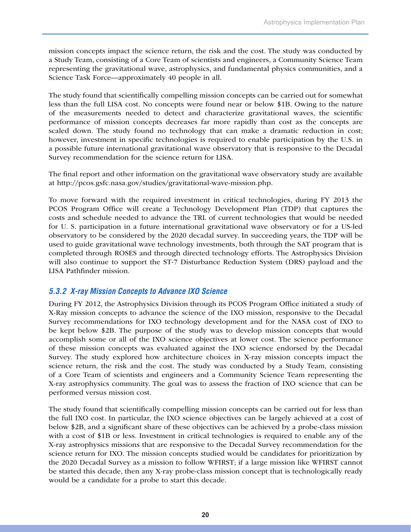mission concepts impact the science return, the risk and the cost. The study was conducted by a Study Team, consisting of a Core Team of scientists and engineers, a Community Science Team representing the gravitational wave, astrophysics, and fundamental physics communities, and a Science Task Force—approximately 40 people in all.

The study found that scientifically compelling mission concepts can be carried out for somewhat less than the full LISA cost. No concepts were found near or below \$1B. Owing to the nature of the measurements needed to detect and characterize gravitational waves, the scientific performance of mission concepts decreases far more rapidly than cost as the concepts are scaled down. The study found no technology that can make a dramatic reduction in cost; however, investment in specific technologies is required to enable participation by the U.S. in a possible future international gravitational wave observatory that is responsive to the Decadal Survey recommendation for the science return for LISA.

The final report and other information on the gravitational wave observatory study are available at http://pcos.gsfc.nasa.gov/studies/gravitational-wave-mission.php.

To move forward with the required investment in critical technologies, during FY 2013 the PCOS Program Office will create a Technology Development Plan (TDP) that captures the costs and schedule needed to advance the TRL of current technologies that would be needed for U. S. participation in a future international gravitational wave observatory or for a US-led observatory to be considered by the 2020 decadal survey. In succeeding years, the TDP will be used to guide gravitational wave technology investments, both through the SAT program that is completed through ROSES and through directed technology efforts. The Astrophysics Division will also continue to support the ST-7 Disturbance Reduction System (DRS) payload and the LISA Pathfinder mission.

#### *5.3.2 X-ray Mission Concepts to Advance IXO Science*

During FY 2012, the Astrophysics Division through its PCOS Program Office initiated a study of X-Ray mission concepts to advance the science of the IXO mission, responsive to the Decadal Survey recommendations for IXO technology development and for the NASA cost of IXO to be kept below \$2B. The purpose of the study was to develop mission concepts that would accomplish some or all of the IXO science objectives at lower cost. The science performance of these mission concepts was evaluated against the IXO science endorsed by the Decadal Survey. The study explored how architecture choices in X-ray mission concepts impact the science return, the risk and the cost. The study was conducted by a Study Team, consisting of a Core Team of scientists and engineers and a Community Science Team representing the X-ray astrophysics community. The goal was to assess the fraction of IXO science that can be performed versus mission cost.

The study found that scientifically compelling mission concepts can be carried out for less than the full IXO cost. In particular, the IXO science objectives can be largely achieved at a cost of below \$2B, and a significant share of these objectives can be achieved by a probe-class mission with a cost of \$1B or less. Investment in critical technologies is required to enable any of the X-ray astrophysics missions that are responsive to the Decadal Survey recommendation for the science return for IXO. The mission concepts studied would be candidates for prioritization by the 2020 Decadal Survey as a mission to follow WFIRST; if a large mission like WFIRST cannot be started this decade, then any X-ray probe-class mission concept that is technologically ready would be a candidate for a probe to start this decade.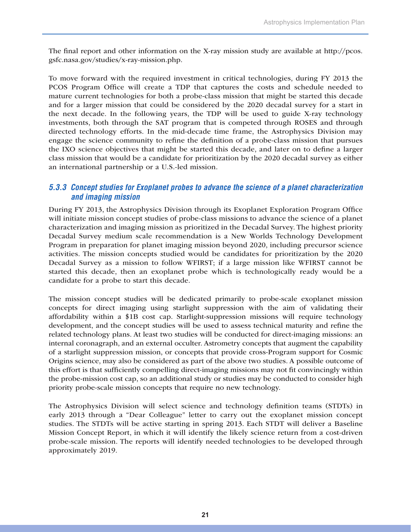The final report and other information on the X-ray mission study are available at http://pcos. gsfc.nasa.gov/studies/x-ray-mission.php.

To move forward with the required investment in critical technologies, during FY 2013 the PCOS Program Office will create a TDP that captures the costs and schedule needed to mature current technologies for both a probe-class mission that might be started this decade and for a larger mission that could be considered by the 2020 decadal survey for a start in the next decade. In the following years, the TDP will be used to guide X-ray technology investments, both through the SAT program that is competed through ROSES and through directed technology efforts. In the mid-decade time frame, the Astrophysics Division may engage the science community to refine the definition of a probe-class mission that pursues the IXO science objectives that might be started this decade, and later on to define a larger class mission that would be a candidate for prioritization by the 2020 decadal survey as either an international partnership or a U.S.-led mission.

#### *5.3.3 Concept studies for Exoplanet probes to advance the science of a planet characterization and imaging mission*

During FY 2013, the Astrophysics Division through its Exoplanet Exploration Program Office will initiate mission concept studies of probe-class missions to advance the science of a planet characterization and imaging mission as prioritized in the Decadal Survey. The highest priority Decadal Survey medium scale recommendation is a New Worlds Technology Development Program in preparation for planet imaging mission beyond 2020, including precursor science activities. The mission concepts studied would be candidates for prioritization by the 2020 Decadal Survey as a mission to follow WFIRST; if a large mission like WFIRST cannot be started this decade, then an exoplanet probe which is technologically ready would be a candidate for a probe to start this decade.

The mission concept studies will be dedicated primarily to probe-scale exoplanet mission concepts for direct imaging using starlight suppression with the aim of validating their affordability within a \$1B cost cap. Starlight-suppression missions will require technology development, and the concept studies will be used to assess technical maturity and refine the related technology plans. At least two studies will be conducted for direct-imaging missions: an internal coronagraph, and an external occulter. Astrometry concepts that augment the capability of a starlight suppression mission, or concepts that provide cross-Program support for Cosmic Origins science, may also be considered as part of the above two studies. A possible outcome of this effort is that sufficiently compelling direct-imaging missions may not fit convincingly within the probe-mission cost cap, so an additional study or studies may be conducted to consider high priority probe-scale mission concepts that require no new technology.

The Astrophysics Division will select science and technology definition teams (STDTs) in early 2013 through a "Dear Colleague" letter to carry out the exoplanet mission concept studies. The STDTs will be active starting in spring 2013. Each STDT will deliver a Baseline Mission Concept Report, in which it will identify the likely science return from a cost-driven probe-scale mission. The reports will identify needed technologies to be developed through approximately 2019.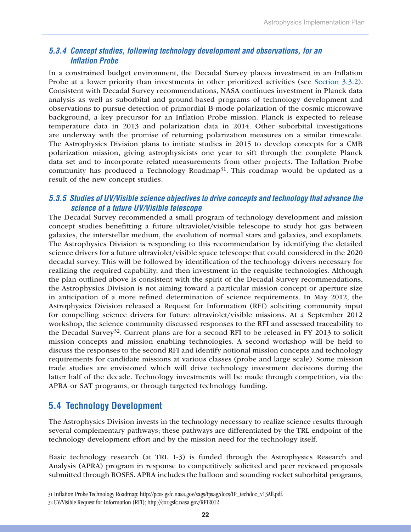#### *5.3.4 Concept studies, following technology development and observations, for an Inflation Probe*

In a constrained budget environment, the Decadal Survey places investment in an Inflation Probe at a lower priority than investments in other prioritized activities (see Section 3.3.2). Consistent with Decadal Survey recommendations, NASA continues investment in Planck data analysis as well as suborbital and ground-based programs of technology development and observations to pursue detection of primordial B-mode polarization of the cosmic microwave background, a key precursor for an Inflation Probe mission. Planck is expected to release temperature data in 2013 and polarization data in 2014. Other suborbital investigations are underway with the promise of returning polarization measures on a similar timescale. The Astrophysics Division plans to initiate studies in 2015 to develop concepts for a CMB polarization mission, giving astrophysicists one year to sift through the complete Planck data set and to incorporate related measurements from other projects. The Inflation Probe community has produced a Technology Roadmap<sup>31</sup>. This roadmap would be updated as a result of the new concept studies.

#### *5.3.5 Studies of UV/Visible science objectives to drive concepts and technology that advance the science of a future UV/Visible telescope*

The Decadal Survey recommended a small program of technology development and mission concept studies benefitting a future ultraviolet/visible telescope to study hot gas between galaxies, the interstellar medium, the evolution of normal stars and galaxies, and exoplanets. The Astrophysics Division is responding to this recommendation by identifying the detailed science drivers for a future ultraviolet/visible space telescope that could considered in the 2020 decadal survey. This will be followed by identification of the technology drivers necessary for realizing the required capability, and then investment in the requisite technologies. Although the plan outlined above is consistent with the spirit of the Decadal Survey recommendations, the Astrophysics Division is not aiming toward a particular mission concept or aperture size in anticipation of a more refined determination of science requirements. In May 2012, the Astrophysics Division released a Request for Information (RFI) soliciting community input for compelling science drivers for future ultraviolet/visible missions. At a September 2012 workshop, the science community discussed responses to the RFI and assessed traceability to the Decadal Survey<sup>32</sup>. Current plans are for a second RFI to be released in FY 2013 to solicit mission concepts and mission enabling technologies. A second workshop will be held to discuss the responses to the second RFI and identify notional mission concepts and technology requirements for candidate missions at various classes (probe and large scale). Some mission trade studies are envisioned which will drive technology investment decisions during the latter half of the decade. Technology investments will be made through competition, via the APRA or SAT programs, or through targeted technology funding.

### **5.4 Technology Development**

The Astrophysics Division invests in the technology necessary to realize science results through several complementary pathways; these pathways are differentiated by the TRL endpoint of the technology development effort and by the mission need for the technology itself.

Basic technology research (at TRL 1-3) is funded through the Astrophysics Research and Analysis (APRA) program in response to competitively solicited and peer reviewed proposals submitted through ROSES. APRA includes the balloon and sounding rocket suborbital programs,

<sup>31</sup> Inflation Probe Technology Roadmap; http://pcos.gsfc.nasa.gov/sags/ipsag/docs/IP\_techdoc\_v13All.pdf.

<sup>32</sup> UV/Visible Request for Information (RFI); http://cor.gsfc.nasa.gov/RFI2012.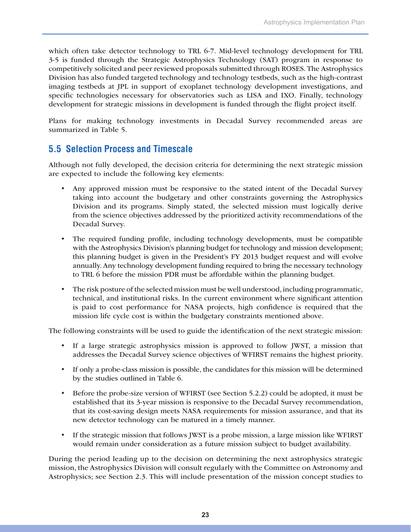which often take detector technology to TRL 6-7. Mid-level technology development for TRL 3-5 is funded through the Strategic Astrophysics Technology (SAT) program in response to competitively solicited and peer reviewed proposals submitted through ROSES. The Astrophysics Division has also funded targeted technology and technology testbeds, such as the high-contrast imaging testbeds at JPL in support of exoplanet technology development investigations, and specific technologies necessary for observatories such as LISA and IXO. Finally, technology development for strategic missions in development is funded through the flight project itself.

Plans for making technology investments in Decadal Survey recommended areas are summarized in Table 5.

### **5.5 Selection Process and Timescale**

Although not fully developed, the decision criteria for determining the next strategic mission are expected to include the following key elements:

- Any approved mission must be responsive to the stated intent of the Decadal Survey taking into account the budgetary and other constraints governing the Astrophysics Division and its programs. Simply stated, the selected mission must logically derive from the science objectives addressed by the prioritized activity recommendations of the Decadal Survey.
- The required funding profile, including technology developments, must be compatible with the Astrophysics Division's planning budget for technology and mission development; this planning budget is given in the President's FY 2013 budget request and will evolve annually. Any technology development funding required to bring the necessary technology to TRL 6 before the mission PDR must be affordable within the planning budget.
- The risk posture of the selected mission must be well understood, including programmatic, technical, and institutional risks. In the current environment where significant attention is paid to cost performance for NASA projects, high confidence is required that the mission life cycle cost is within the budgetary constraints mentioned above.

The following constraints will be used to guide the identification of the next strategic mission:

- If a large strategic astrophysics mission is approved to follow JWST, a mission that addresses the Decadal Survey science objectives of WFIRST remains the highest priority.
- If only a probe-class mission is possible, the candidates for this mission will be determined by the studies outlined in Table 6.
- • Before the probe-size version of WFIRST (see Section 5.2.2) could be adopted, it must be established that its 3-year mission is responsive to the Decadal Survey recommendation, that its cost-saving design meets NASA requirements for mission assurance, and that its new detector technology can be matured in a timely manner.
- If the strategic mission that follows JWST is a probe mission, a large mission like WFIRST would remain under consideration as a future mission subject to budget availability.

During the period leading up to the decision on determining the next astrophysics strategic mission, the Astrophysics Division will consult regularly with the Committee on Astronomy and Astrophysics; see Section 2.3. This will include presentation of the mission concept studies to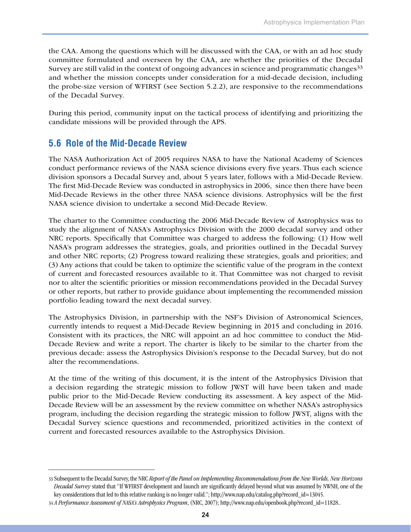the CAA. Among the questions which will be discussed with the CAA, or with an ad hoc study committee formulated and overseen by the CAA, are whether the priorities of the Decadal Survey are still valid in the context of ongoing advances in science and programmatic changes<sup>33</sup> and whether the mission concepts under consideration for a mid-decade decision, including the probe-size version of WFIRST (see Section 5.2.2), are responsive to the recommendations of the Decadal Survey.

During this period, community input on the tactical process of identifying and prioritizing the candidate missions will be provided through the APS.

#### **5.6 Role of the Mid-Decade Review**

The NASA Authorization Act of 2005 requires NASA to have the National Academy of Sciences conduct performance reviews of the NASA science divisions every five years. Thus each science division sponsors a Decadal Survey and, about 5 years later, follows with a Mid-Decade Review. The first Mid-Decade Review was conducted in astrophysics in 2006, since then there have been Mid-Decade Reviews in the other three NASA science divisions. Astrophysics will be the first NASA science division to undertake a second Mid-Decade Review.

The charter to the Committee conducting the 2006 Mid-Decade Review of Astrophysics was to study the alignment of NASA's Astrophysics Division with the 2000 decadal survey and other NRC reports. Specifically that Committee was charged to address the following: (1) How well NASA's program addresses the strategies, goals, and priorities outlined in the Decadal Survey and other NRC reports; (2) Progress toward realizing these strategies, goals and priorities; and (3) Any actions that could be taken to optimize the scientific value of the program in the context of current and forecasted resources available to it. That Committee was not charged to revisit nor to alter the scientific priorities or mission recommendations provided in the Decadal Survey or other reports, but rather to provide guidance about implementing the recommended mission portfolio leading toward the next decadal survey.

The Astrophysics Division, in partnership with the NSF's Division of Astronomical Sciences, currently intends to request a Mid-Decade Review beginning in 2015 and concluding in 2016. Consistent with its practices, the NRC will appoint an ad hoc committee to conduct the Mid-Decade Review and write a report. The charter is likely to be similar to the charter from the previous decade: assess the Astrophysics Division's response to the Decadal Survey, but do not alter the recommendations.

At the time of the writing of this document, it is the intent of the Astrophysics Division that a decision regarding the strategic mission to follow JWST will have been taken and made public prior to the Mid-Decade Review conducting its assessment. A key aspect of the Mid-Decade Review will be an assessment by the review committee on whether NASA's astrophysics program, including the decision regarding the strategic mission to follow JWST, aligns with the Decadal Survey science questions and recommended, prioritized activities in the context of current and forecasted resources available to the Astrophysics Division.

<sup>33</sup> Subsequent to the Decadal Survey, the NRC *Report of the Panel on Implementing Recommendations from the New Worlds, New Horizons Decadal Survey* stated that "If WFIRST development and launch are significantly delayed beyond what was assumed by NWNH, one of the key considerations that led to this relative ranking is no longer valid."; http://www.nap.edu/catalog.php?record\_id=13045.

<sup>34</sup> *A Performance Assessment of NASA's Astrophysics Program*, (NRC, 2007); http://www.nap.edu/openbook.php?record\_id=11828..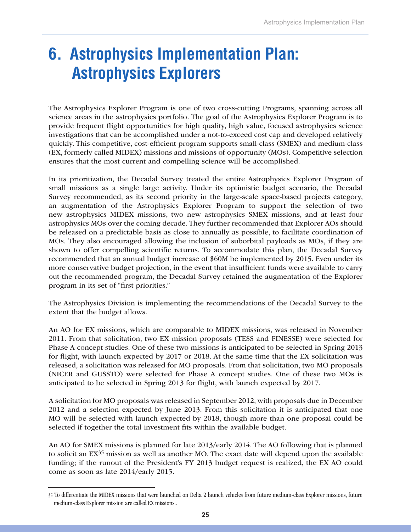# **6. Astrophysics Implementation Plan: Astrophysics Explorers**

The Astrophysics Explorer Program is one of two cross-cutting Programs, spanning across all science areas in the astrophysics portfolio. The goal of the Astrophysics Explorer Program is to provide frequent flight opportunities for high quality, high value, focused astrophysics science investigations that can be accomplished under a not-to-exceed cost cap and developed relatively quickly. This competitive, cost-efficient program supports small-class (SMEX) and medium-class (EX, formerly called MIDEX) missions and missions of opportunity (MOs). Competitive selection ensures that the most current and compelling science will be accomplished.

In its prioritization, the Decadal Survey treated the entire Astrophysics Explorer Program of small missions as a single large activity. Under its optimistic budget scenario, the Decadal Survey recommended, as its second priority in the large-scale space-based projects category, an augmentation of the Astrophysics Explorer Program to support the selection of two new astrophysics MIDEX missions, two new astrophysics SMEX missions, and at least four astrophysics MOs over the coming decade. They further recommended that Explorer AOs should be released on a predictable basis as close to annually as possible, to facilitate coordination of MOs. They also encouraged allowing the inclusion of suborbital payloads as MOs, if they are shown to offer compelling scientific returns. To accommodate this plan, the Decadal Survey recommended that an annual budget increase of \$60M be implemented by 2015. Even under its more conservative budget projection, in the event that insufficient funds were available to carry out the recommended program, the Decadal Survey retained the augmentation of the Explorer program in its set of "first priorities."

The Astrophysics Division is implementing the recommendations of the Decadal Survey to the extent that the budget allows.

An AO for EX missions, which are comparable to MIDEX missions, was released in November 2011. From that solicitation, two EX mission proposals (TESS and FINESSE) were selected for Phase A concept studies. One of these two missions is anticipated to be selected in Spring 2013 for flight, with launch expected by 2017 or 2018. At the same time that the EX solicitation was released, a solicitation was released for MO proposals. From that solicitation, two MO proposals (NICER and GUSSTO) were selected for Phase A concept studies. One of these two MOs is anticipated to be selected in Spring 2013 for flight, with launch expected by 2017.

A solicitation for MO proposals was released in September 2012, with proposals due in December 2012 and a selection expected by June 2013. From this solicitation it is anticipated that one MO will be selected with launch expected by 2018, though more than one proposal could be selected if together the total investment fits within the available budget.

An AO for SMEX missions is planned for late 2013/early 2014. The AO following that is planned to solicit an EX<sup>35</sup> mission as well as another MO. The exact date will depend upon the available funding; if the runout of the President's FY 2013 budget request is realized, the EX AO could come as soon as late 2014/early 2015.

<sup>35</sup> To differentiate the MIDEX missions that were launched on Delta 2 launch vehicles from future medium-class Explorer missions, future medium-class Explorer mission are called EX missions..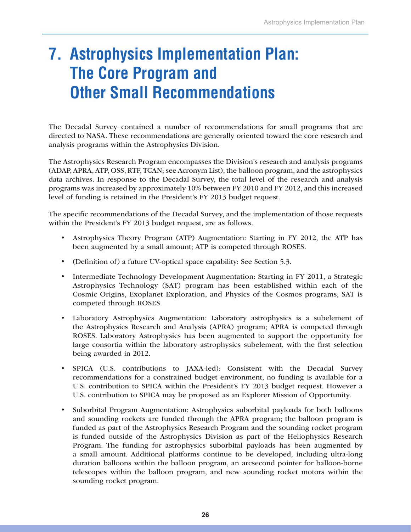# **7. Astrophysics Implementation Plan: The Core Program and Other Small Recommendations**

The Decadal Survey contained a number of recommendations for small programs that are directed to NASA. These recommendations are generally oriented toward the core research and analysis programs within the Astrophysics Division.

The Astrophysics Research Program encompasses the Division's research and analysis programs (ADAP, APRA, ATP, OSS, RTF, TCAN; see Acronym List), the balloon program, and the astrophysics data archives. In response to the Decadal Survey, the total level of the research and analysis programs was increased by approximately 10% between FY 2010 and FY 2012, and this increased level of funding is retained in the President's FY 2013 budget request.

The specific recommendations of the Decadal Survey, and the implementation of those requests within the President's FY 2013 budget request, are as follows.

- Astrophysics Theory Program (ATP) Augmentation: Starting in FY 2012, the ATP has been augmented by a small amount; ATP is competed through ROSES.
- • (Definition of) a future UV-optical space capability: See Section 5.3.
- Intermediate Technology Development Augmentation: Starting in FY 2011, a Strategic Astrophysics Technology (SAT) program has been established within each of the Cosmic Origins, Exoplanet Exploration, and Physics of the Cosmos programs; SAT is competed through ROSES.
- • Laboratory Astrophysics Augmentation: Laboratory astrophysics is a subelement of the Astrophysics Research and Analysis (APRA) program; APRA is competed through ROSES. Laboratory Astrophysics has been augmented to support the opportunity for large consortia within the laboratory astrophysics subelement, with the first selection being awarded in 2012.
- SPICA (U.S. contributions to JAXA-led): Consistent with the Decadal Survey recommendations for a constrained budget environment, no funding is available for a U.S. contribution to SPICA within the President's FY 2013 budget request. However a U.S. contribution to SPICA may be proposed as an Explorer Mission of Opportunity.
- • Suborbital Program Augmentation: Astrophysics suborbital payloads for both balloons and sounding rockets are funded through the APRA program; the balloon program is funded as part of the Astrophysics Research Program and the sounding rocket program is funded outside of the Astrophysics Division as part of the Heliophysics Research Program. The funding for astrophysics suborbital payloads has been augmented by a small amount. Additional platforms continue to be developed, including ultra-long duration balloons within the balloon program, an arcsecond pointer for balloon-borne telescopes within the balloon program, and new sounding rocket motors within the sounding rocket program.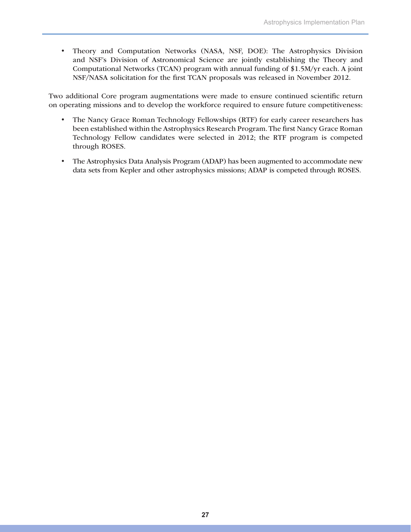• Theory and Computation Networks (NASA, NSF, DOE): The Astrophysics Division and NSF's Division of Astronomical Science are jointly establishing the Theory and Computational Networks (TCAN) program with annual funding of \$1.5M/yr each. A joint NSF/NASA solicitation for the first TCAN proposals was released in November 2012.

Two additional Core program augmentations were made to ensure continued scientific return on operating missions and to develop the workforce required to ensure future competitiveness:

- The Nancy Grace Roman Technology Fellowships (RTF) for early career researchers has been established within the Astrophysics Research Program. The first Nancy Grace Roman Technology Fellow candidates were selected in 2012; the RTF program is competed through ROSES.
- The Astrophysics Data Analysis Program (ADAP) has been augmented to accommodate new data sets from Kepler and other astrophysics missions; ADAP is competed through ROSES.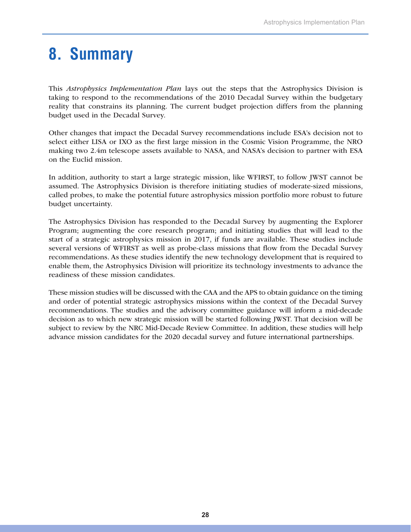# **8. Summary**

This *Astrophysics Implementation Plan* lays out the steps that the Astrophysics Division is taking to respond to the recommendations of the 2010 Decadal Survey within the budgetary reality that constrains its planning. The current budget projection differs from the planning budget used in the Decadal Survey.

Other changes that impact the Decadal Survey recommendations include ESA's decision not to select either LISA or IXO as the first large mission in the Cosmic Vision Programme, the NRO making two 2.4m telescope assets available to NASA, and NASA's decision to partner with ESA on the Euclid mission.

In addition, authority to start a large strategic mission, like WFIRST, to follow JWST cannot be assumed. The Astrophysics Division is therefore initiating studies of moderate-sized missions, called probes, to make the potential future astrophysics mission portfolio more robust to future budget uncertainty.

The Astrophysics Division has responded to the Decadal Survey by augmenting the Explorer Program; augmenting the core research program; and initiating studies that will lead to the start of a strategic astrophysics mission in 2017, if funds are available. These studies include several versions of WFIRST as well as probe-class missions that flow from the Decadal Survey recommendations. As these studies identify the new technology development that is required to enable them, the Astrophysics Division will prioritize its technology investments to advance the readiness of these mission candidates.

These mission studies will be discussed with the CAA and the APS to obtain guidance on the timing and order of potential strategic astrophysics missions within the context of the Decadal Survey recommendations. The studies and the advisory committee guidance will inform a mid-decade decision as to which new strategic mission will be started following JWST. That decision will be subject to review by the NRC Mid-Decade Review Committee. In addition, these studies will help advance mission candidates for the 2020 decadal survey and future international partnerships.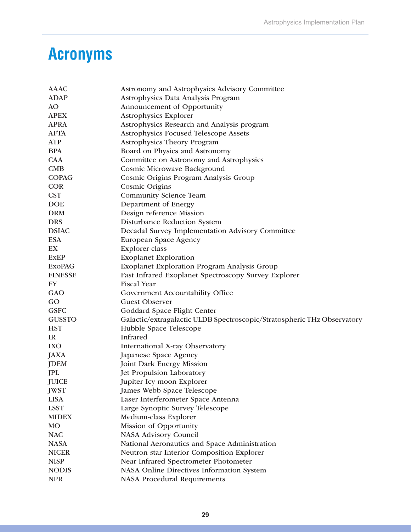# **Acronyms**

| <b>AAAC</b>    | Astronomy and Astrophysics Advisory Committee                           |
|----------------|-------------------------------------------------------------------------|
| <b>ADAP</b>    | Astrophysics Data Analysis Program                                      |
| AO             | Announcement of Opportunity                                             |
| <b>APEX</b>    | <b>Astrophysics Explorer</b>                                            |
| <b>APRA</b>    | Astrophysics Research and Analysis program                              |
| <b>AFTA</b>    | Astrophysics Focused Telescope Assets                                   |
| <b>ATP</b>     | <b>Astrophysics Theory Program</b>                                      |
| <b>BPA</b>     | Board on Physics and Astronomy                                          |
| <b>CAA</b>     | Committee on Astronomy and Astrophysics                                 |
| CMB            | Cosmic Microwave Background                                             |
| <b>COPAG</b>   | Cosmic Origins Program Analysis Group                                   |
| <b>COR</b>     | <b>Cosmic Origins</b>                                                   |
| <b>CST</b>     | <b>Community Science Team</b>                                           |
| <b>DOE</b>     | Department of Energy                                                    |
| <b>DRM</b>     | Design reference Mission                                                |
| <b>DRS</b>     | Disturbance Reduction System                                            |
| <b>DSIAC</b>   | Decadal Survey Implementation Advisory Committee                        |
| <b>ESA</b>     | European Space Agency                                                   |
| EX             | Explorer-class                                                          |
| <b>ExEP</b>    | <b>Exoplanet Exploration</b>                                            |
| <b>ExoPAG</b>  | <b>Exoplanet Exploration Program Analysis Group</b>                     |
| <b>FINESSE</b> | Fast Infrared Exoplanet Spectroscopy Survey Explorer                    |
| FY             | <b>Fiscal Year</b>                                                      |
| GAO            | Government Accountability Office                                        |
| GO             | <b>Guest Observer</b>                                                   |
| <b>GSFC</b>    | Goddard Space Flight Center                                             |
| <b>GUSSTO</b>  | Galactic/extragalactic ULDB Spectroscopic/Stratospheric THz Observatory |
| <b>HST</b>     | Hubble Space Telescope                                                  |
| IR             | Infrared                                                                |
| <b>IXO</b>     | International X-ray Observatory                                         |
| JAXA           | Japanese Space Agency                                                   |
| <b>JDEM</b>    | <b>Joint Dark Energy Mission</b>                                        |
| JPL            | Jet Propulsion Laboratory                                               |
| JUICE          | Jupiter Icy moon Explorer                                               |
| <b>JWST</b>    | James Webb Space Telescope                                              |
| <b>LISA</b>    | Laser Interferometer Space Antenna                                      |
| <b>LSST</b>    | Large Synoptic Survey Telescope                                         |
| <b>MIDEX</b>   | Medium-class Explorer                                                   |
| MO             | Mission of Opportunity                                                  |
| <b>NAC</b>     | <b>NASA Advisory Council</b>                                            |
| <b>NASA</b>    | National Aeronautics and Space Administration                           |
| <b>NICER</b>   | Neutron star Interior Composition Explorer                              |
| <b>NISP</b>    | Near Infrared Spectrometer Photometer                                   |
| <b>NODIS</b>   | NASA Online Directives Information System                               |
| <b>NPR</b>     | <b>NASA Procedural Requirements</b>                                     |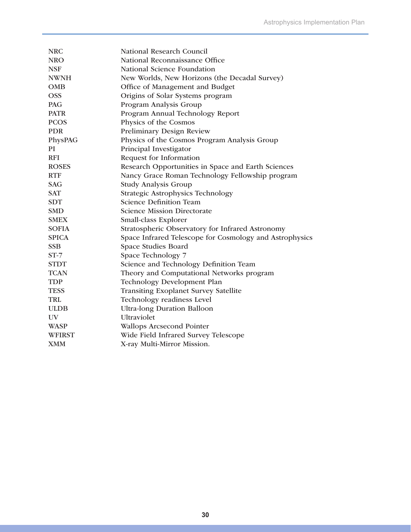| <b>NRC</b>    | National Research Council                               |
|---------------|---------------------------------------------------------|
| <b>NRO</b>    | National Reconnaissance Office                          |
| <b>NSF</b>    | National Science Foundation                             |
| <b>NWNH</b>   | New Worlds, New Horizons (the Decadal Survey)           |
| <b>OMB</b>    | Office of Management and Budget                         |
| <b>OSS</b>    | Origins of Solar Systems program                        |
| <b>PAG</b>    | Program Analysis Group                                  |
| <b>PATR</b>   | Program Annual Technology Report                        |
| <b>PCOS</b>   | Physics of the Cosmos                                   |
| <b>PDR</b>    | Preliminary Design Review                               |
| PhysPAG       | Physics of the Cosmos Program Analysis Group            |
| PI            | Principal Investigator                                  |
| <b>RFI</b>    | Request for Information                                 |
| <b>ROSES</b>  | Research Opportunities in Space and Earth Sciences      |
| <b>RTF</b>    | Nancy Grace Roman Technology Fellowship program         |
| <b>SAG</b>    | <b>Study Analysis Group</b>                             |
| <b>SAT</b>    | <b>Strategic Astrophysics Technology</b>                |
| <b>SDT</b>    | <b>Science Definition Team</b>                          |
| <b>SMD</b>    | <b>Science Mission Directorate</b>                      |
| <b>SMEX</b>   | Small-class Explorer                                    |
| <b>SOFIA</b>  | Stratospheric Observatory for Infrared Astronomy        |
| <b>SPICA</b>  | Space Infrared Telescope for Cosmology and Astrophysics |
| <b>SSB</b>    | Space Studies Board                                     |
| $ST-7$        | Space Technology 7                                      |
| <b>STDT</b>   | Science and Technology Definition Team                  |
| <b>TCAN</b>   | Theory and Computational Networks program               |
| <b>TDP</b>    | Technology Development Plan                             |
| <b>TESS</b>   | <b>Transiting Exoplanet Survey Satellite</b>            |
| <b>TRL</b>    | Technology readiness Level                              |
| <b>ULDB</b>   | <b>Ultra-long Duration Balloon</b>                      |
| UV            | Ultraviolet                                             |
| <b>WASP</b>   | <b>Wallops Arcsecond Pointer</b>                        |
| <b>WFIRST</b> | Wide Field Infrared Survey Telescope                    |
| <b>XMM</b>    | X-ray Multi-Mirror Mission.                             |